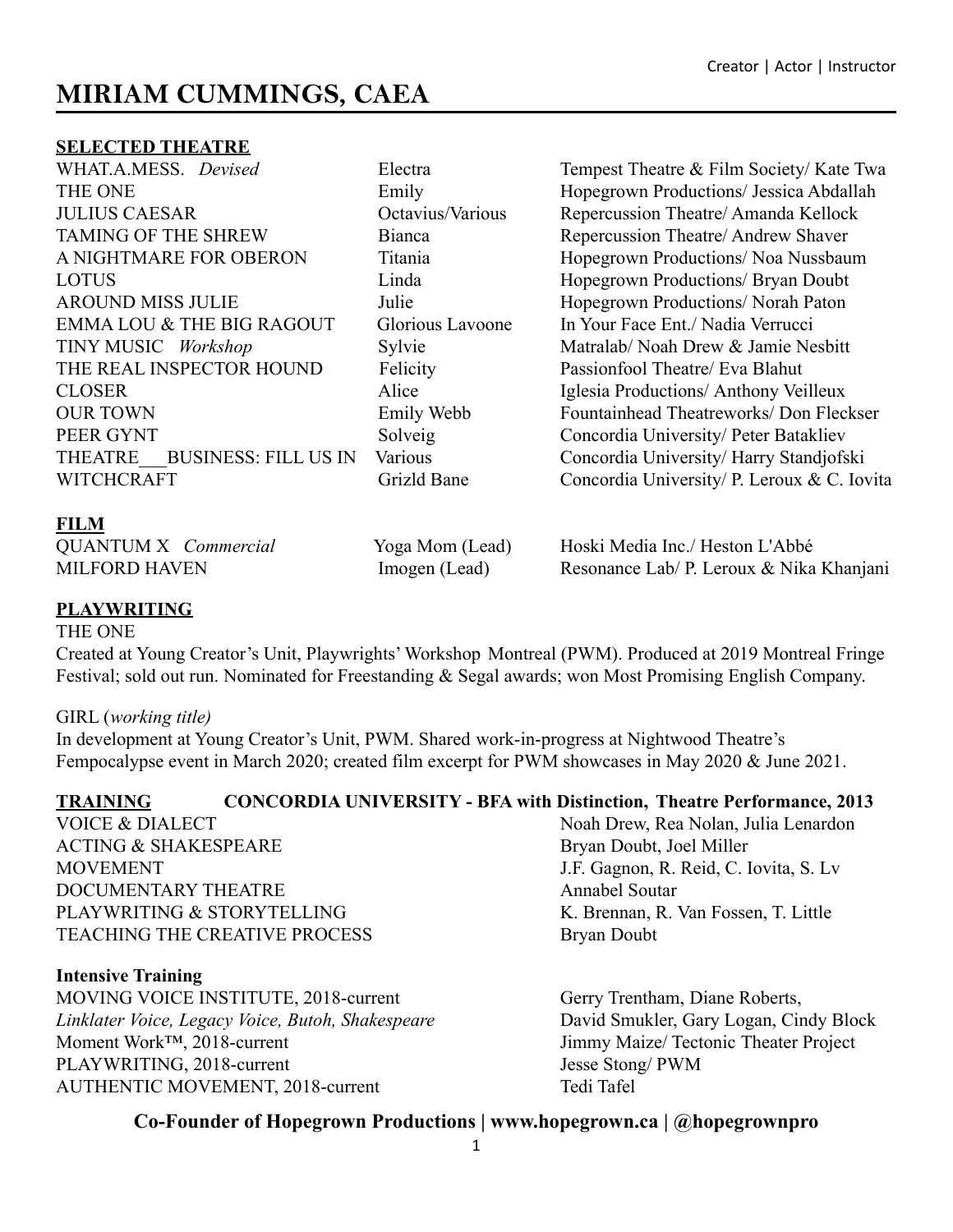# **MIRIAM CUMMINGS, CAEA**

#### **SELECTED THEATRE**

TAMING OF THE SHREW Bianca<br>
Bianca<br>
Repercussion Theatre/ Andrew Shaver LOTUS Linda Hopegrown Productions/ Bryan Doubt AROUND MISS JULIE Julie Hopegrown Productions/ Norah Paton EMMA LOU & THE BIG RAGOUT Glorious Lavoone In Your Face Ent./ Nadia Verrucci TINY MUSIC *Workshop* Sylvie Matralab/ Noah Drew & Jamie Nesbitt THE REAL INSPECTOR HOUND Felicity Passionfool Theatre/ Eva Blahut CLOSER Alice Iglesia Productions/ Anthony Veilleux PEER GYNT Solveig Concordia University/ Peter Batakliev

WHAT.A.MESS. *Devised* Electra Tempest Theatre & Film Society/Kate Twa THE ONE Emily Emily Hopegrown Productions/ Jessica Abdallah JULIUS CAESAR Octavius/Various Repercussion Theatre/ Amanda Kellock A NIGHTMARE FOR OBERON Titania Hopegrown Productions/ Noa Nussbaum OUR TOWN Emily Webb Fountainhead Theatreworks/ Don Fleckser THEATRE BUSINESS: FILL US IN Various Concordia University/ Harry Standjofski WITCHCRAFT Grizld Bane Concordia University P. Leroux & C. Iovita

### **FILM**

| <b>QUANTUM X</b> <i>Commercial</i> | Yoga Mom (Lead) | Hoski Media Inc./ Heston L'Abbé          |
|------------------------------------|-----------------|------------------------------------------|
| <b>MILFORD HAVEN</b>               | Imogen (Lead)   | Resonance Lab/ P. Leroux & Nika Khanjani |

## **PLAYWRITING**

THE ONE

Created at Young Creator's Unit, Playwrights' Workshop Montreal (PWM). Produced at 2019 Montreal Fringe Festival; sold out run. Nominated for Freestanding & Segal awards; won Most Promising English Company.

#### GIRL (*working title)*

In development at Young Creator's Unit, PWM. Shared work-in-progress at Nightwood Theatre's Fempocalypse event in March 2020; created film excerpt for PWM showcases in May 2020 & June 2021.

# **TRAINING CONCORDIA UNIVERSITY - BFA with Distinction, Theatre Performance, 2013**

ACTING & SHAKESPEARE Bryan Doubt, Joel Miller MOVEMENT J.F. Gagnon, R. Reid, C. Iovita, S. Lv DOCUMENTARY THEATRE Annabel Soutar PLAYWRITING & STORYTELLING K. Brennan, R. Van Fossen, T. Little TEACHING THE CREATIVE PROCESS Bryan Doubt

#### **Intensive Training**

MOVING VOICE INSTITUTE, 2018-current Gerry Trentham, Diane Roberts, *Linklater Voice, Legacy Voice, Butoh, Shakespeare* David Smukler, Gary Logan, Cindy Block Moment Work<sup>TM</sup>, 2018-current Jimmy Maize/ Tectonic Theater Project<br>PLAYWRITING, 2018-current Jesse Stong/ PWM PLAYWRITING, 2018-current AUTHENTIC MOVEMENT, 2018-current Tedi Tafel

VOICE & DIALECT Noah Drew, Rea Nolan, Julia Lenardon

# **Co-Founder of Hopegrown Productions | www.hopegrown.ca | @hopegrownpro**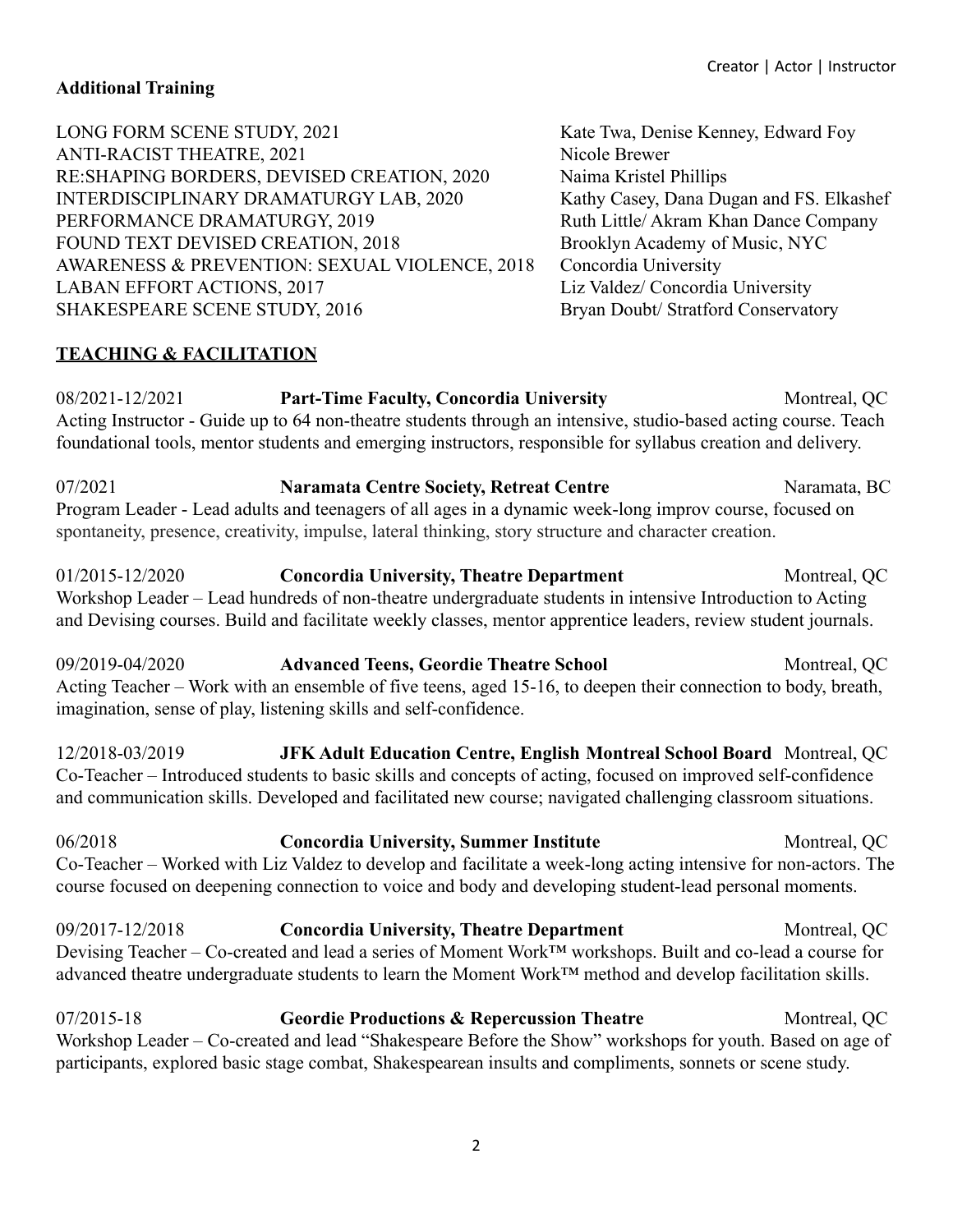### **Additional Training**

| LONG FORM SCENE STUDY, 2021                   | Kate Twa, Denise Kenney, Edward Foy      |
|-----------------------------------------------|------------------------------------------|
| <b>ANTI-RACIST THEATRE, 2021</b>              | Nicole Brewer                            |
| RE: SHAPING BORDERS, DEVISED CREATION, 2020   | Naima Kristel Phillips                   |
| INTERDISCIPLINARY DRAMATURGY LAB, 2020        | Kathy Casey, Dana Dugan and FS. Elkashef |
| PERFORMANCE DRAMATURGY, 2019                  | Ruth Little/ Akram Khan Dance Company    |
| FOUND TEXT DEVISED CREATION, 2018             | Brooklyn Academy of Music, NYC           |
| AWARENESS & PREVENTION: SEXUAL VIOLENCE, 2018 | Concordia University                     |
| <b>LABAN EFFORT ACTIONS, 2017</b>             | Liz Valdez/ Concordia University         |
| <b>SHAKESPEARE SCENE STUDY, 2016</b>          | Bryan Doubt/ Stratford Conservatory      |
|                                               |                                          |

#### **TEACHING & FACILITATION**

08/2021-12/2021 **Part-Time Faculty, Concordia University** Montreal, QC Acting Instructor - Guide up to 64 non-theatre students through an intensive, studio-based acting course. Teach foundational tools, mentor students and emerging instructors, responsible for syllabus creation and delivery.

07/2021 **Naramata Centre Society, Retreat Centre** Naramata, BC Program Leader - Lead adults and teenagers of all ages in a dynamic week-long improv course, focused on spontaneity, presence, creativity, impulse, lateral thinking, story structure and character creation.

01/2015-12/2020 **Concordia University, Theatre Department** Montreal, QC Workshop Leader – Lead hundreds of non-theatre undergraduate students in intensive Introduction to Acting and Devising courses. Build and facilitate weekly classes, mentor apprentice leaders, review student journals.

09/2019-04/2020 **Advanced Teens, Geordie Theatre School** Montreal, QC Acting Teacher – Work with an ensemble of five teens, aged 15-16, to deepen their connection to body, breath, imagination, sense of play, listening skills and self-confidence.

12/2018-03/2019 **JFK Adult Education Centre, English Montreal School Board** Montreal, QC Co-Teacher – Introduced students to basic skills and concepts of acting, focused on improved self-confidence and communication skills. Developed and facilitated new course; navigated challenging classroom situations.

06/2018 **Concordia University, Summer Institute** Montreal, QC Co-Teacher – Worked with Liz Valdez to develop and facilitate a week-long acting intensive for non-actors. The course focused on deepening connection to voice and body and developing student-lead personal moments.

09/2017-12/2018 **Concordia University, Theatre Department** Montreal, QC Devising Teacher – Co-created and lead a series of Moment Work™ workshops. Built and co-lead a course for advanced theatre undergraduate students to learn the Moment Work™ method and develop facilitation skills.

07/2015-18 **Geordie Productions & Repercussion Theatre** Montreal, QC Workshop Leader – Co-created and lead "Shakespeare Before the Show" workshops for youth. Based on age of participants, explored basic stage combat, Shakespearean insults and compliments, sonnets or scene study.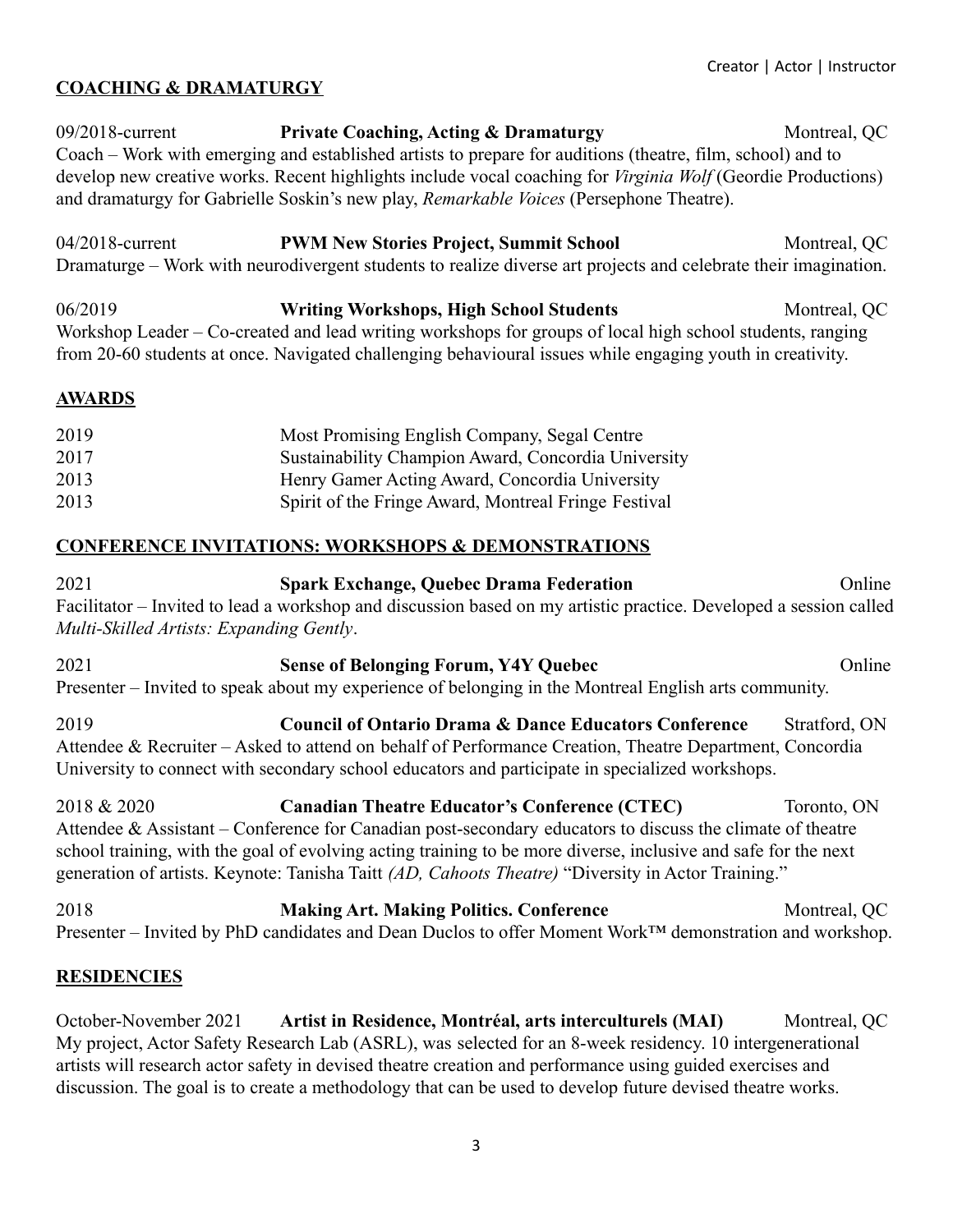# **COACHING & DRAMATURGY**

09/2018-current **Private Coaching, Acting & Dramaturgy** Montreal, QC Coach – Work with emerging and established artists to prepare for auditions (theatre, film, school) and to develop new creative works. Recent highlights include vocal coaching for *Virginia Wolf* (Geordie Productions) and dramaturgy for Gabrielle Soskin's new play, *Remarkable Voices* (Persephone Theatre).

04/2018-current **PWM New Stories Project, Summit School** Montreal, QC Dramaturge – Work with neurodivergent students to realize diverse art projects and celebrate their imagination.

06/2019 **Writing Workshops, High School Students** Montreal, QC Workshop Leader – Co-created and lead writing workshops for groups of local high school students, ranging from 20-60 students at once. Navigated challenging behavioural issues while engaging youth in creativity.

#### **AWARDS**

| 2019 | Most Promising English Company, Segal Centre         |
|------|------------------------------------------------------|
| 2017 | Sustainability Champion Award, Concordia University  |
| 2013 | Henry Gamer Acting Award, Concordia University       |
| 2013 | Spirit of the Fringe Award, Montreal Fringe Festival |

## **CONFERENCE INVITATIONS: WORKSHOPS & DEMONSTRATIONS**

2021 **Spark Exchange, Quebec Drama Federation** Online Facilitator – Invited to lead a workshop and discussion based on my artistic practice. Developed a session called *Multi-Skilled Artists: Expanding Gently*.

2021 **Sense of Belonging Forum, Y4Y Quebec** Online Presenter – Invited to speak about my experience of belonging in the Montreal English arts community.

2019 **Council of Ontario Drama & Dance Educators Conference** Stratford, ON Attendee & Recruiter – Asked to attend on behalf of Performance Creation, Theatre Department, Concordia University to connect with secondary school educators and participate in specialized workshops.

2018 & 2020 **Canadian Theatre Educator's Conference (CTEC)** Toronto, ON Attendee & Assistant – Conference for Canadian post-secondary educators to discuss the climate of theatre school training, with the goal of evolving acting training to be more diverse, inclusive and safe for the next generation of artists. Keynote: Tanisha Taitt *(AD, Cahoots Theatre)* "Diversity in Actor Training."

**2018 Making Art. Making Politics. Conference** Montreal, QC Presenter – Invited by PhD candidates and Dean Duclos to offer Moment Work™ demonstration and workshop.

#### **RESIDENCIES**

October-November 2021 **Artist in Residence, Montréal, arts interculturels (MAI)** Montreal, QC My project, Actor Safety Research Lab (ASRL), was selected for an 8-week residency. 10 intergenerational artists will research actor safety in devised theatre creation and performance using guided exercises and discussion. The goal is to create a methodology that can be used to develop future devised theatre works.